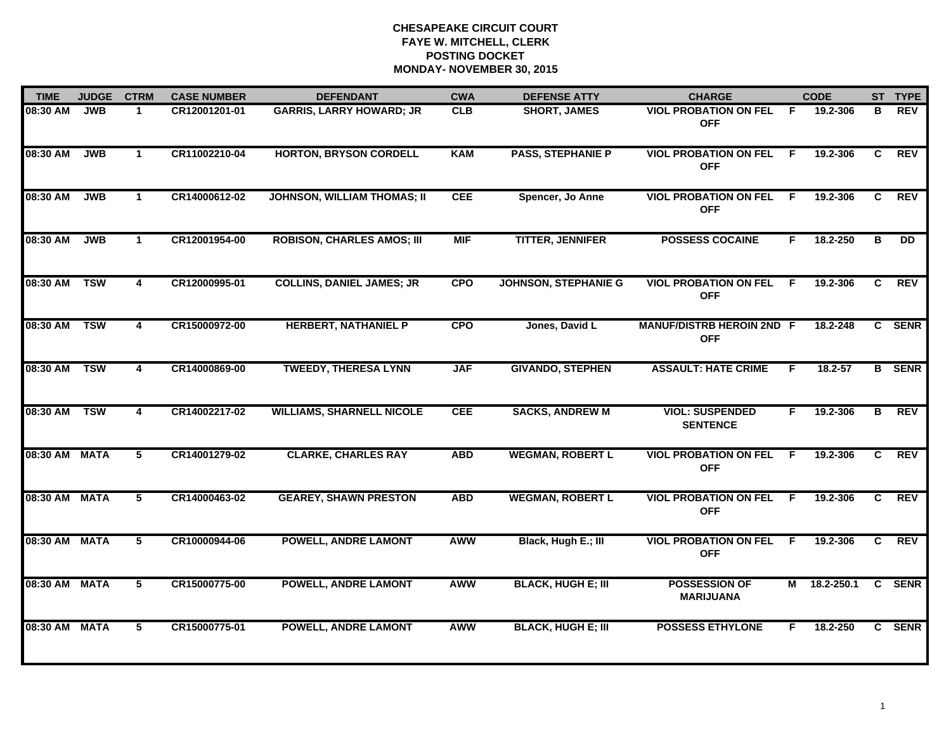| <b>TIME</b>   | <b>JUDGE</b> | <b>CTRM</b>             | <b>CASE NUMBER</b> | <b>DEFENDANT</b>                   | <b>CWA</b> | <b>DEFENSE ATTY</b>         | <b>CHARGE</b>                                  |     | <b>CODE</b>  |              | ST TYPE       |
|---------------|--------------|-------------------------|--------------------|------------------------------------|------------|-----------------------------|------------------------------------------------|-----|--------------|--------------|---------------|
| 08:30 AM      | <b>JWB</b>   | 1.                      | CR12001201-01      | <b>GARRIS, LARRY HOWARD; JR</b>    | <b>CLB</b> | <b>SHORT, JAMES</b>         | <b>VIOL PROBATION ON FEL</b><br><b>OFF</b>     | -F  | 19.2-306     | в            | <b>REV</b>    |
| 08:30 AM      | <b>JWB</b>   | $\mathbf{1}$            | CR11002210-04      | <b>HORTON, BRYSON CORDELL</b>      | <b>KAM</b> | <b>PASS, STEPHANIE P</b>    | <b>VIOL PROBATION ON FEL</b><br><b>OFF</b>     | F   | 19.2-306     | C.           | <b>REV</b>    |
| 08:30 AM      | <b>JWB</b>   | $\mathbf 1$             | CR14000612-02      | <b>JOHNSON, WILLIAM THOMAS; II</b> | <b>CEE</b> | Spencer, Jo Anne            | <b>VIOL PROBATION ON FEL F</b><br><b>OFF</b>   |     | 19.2-306     | C.           | <b>REV</b>    |
| 08:30 AM      | <b>JWB</b>   | $\mathbf{1}$            | CR12001954-00      | <b>ROBISON, CHARLES AMOS; III</b>  | <b>MIF</b> | <b>TITTER, JENNIFER</b>     | <b>POSSESS COCAINE</b>                         | F.  | 18.2-250     | B            | DD.           |
| 08:30 AM      | <b>TSW</b>   | 4                       | CR12000995-01      | <b>COLLINS, DANIEL JAMES; JR</b>   | <b>CPO</b> | <b>JOHNSON, STEPHANIE G</b> | <b>VIOL PROBATION ON FEL</b><br><b>OFF</b>     | - F | 19.2-306     | C.           | <b>REV</b>    |
| 08:30 AM      | <b>TSW</b>   | $\overline{\mathbf{4}}$ | CR15000972-00      | <b>HERBERT, NATHANIEL P</b>        | <b>CPO</b> | Jones, David L              | <b>MANUF/DISTRB HEROIN 2ND F</b><br><b>OFF</b> |     | 18.2-248     |              | C SENR        |
| 08:30 AM      | <b>TSW</b>   | $\overline{\mathbf{4}}$ | CR14000869-00      | <b>TWEEDY, THERESA LYNN</b>        | <b>JAF</b> | <b>GIVANDO, STEPHEN</b>     | <b>ASSAULT: HATE CRIME</b>                     | F.  | $18.2 - 57$  |              | <b>B</b> SENR |
| 08:30 AM      | <b>TSW</b>   | 4                       | CR14002217-02      | <b>WILLIAMS, SHARNELL NICOLE</b>   | <b>CEE</b> | <b>SACKS, ANDREW M</b>      | <b>VIOL: SUSPENDED</b><br><b>SENTENCE</b>      | F.  | 19.2-306     | B            | <b>REV</b>    |
| 08:30 AM MATA |              | 5                       | CR14001279-02      | <b>CLARKE, CHARLES RAY</b>         | <b>ABD</b> | <b>WEGMAN, ROBERT L</b>     | <b>VIOL PROBATION ON FEL</b><br><b>OFF</b>     | F.  | 19.2-306     | C            | <b>REV</b>    |
| 08:30 AM MATA |              | 5                       | CR14000463-02      | <b>GEAREY, SHAWN PRESTON</b>       | <b>ABD</b> | <b>WEGMAN, ROBERT L</b>     | <b>VIOL PROBATION ON FEL</b><br><b>OFF</b>     | -F  | 19.2-306     | C.           | <b>REV</b>    |
| 08:30 AM MATA |              | $5\phantom{.0}$         | CR10000944-06      | <b>POWELL, ANDRE LAMONT</b>        | <b>AWW</b> | Black, Hugh E.; III         | <b>VIOL PROBATION ON FEL</b><br><b>OFF</b>     | - F | 19.2-306     | C            | <b>REV</b>    |
| 08:30 AM MATA |              | 5                       | CR15000775-00      | <b>POWELL, ANDRE LAMONT</b>        | <b>AWW</b> | <b>BLACK, HUGH E; III</b>   | <b>POSSESSION OF</b><br><b>MARIJUANA</b>       |     | M 18.2-250.1 |              | C SENR        |
| 08:30 AM MATA |              | 5                       | CR15000775-01      | <b>POWELL, ANDRE LAMONT</b>        | <b>AWW</b> | <b>BLACK, HUGH E; III</b>   | <b>POSSESS ETHYLONE</b>                        | F.  | 18.2-250     | $\mathbf{c}$ | <b>SENR</b>   |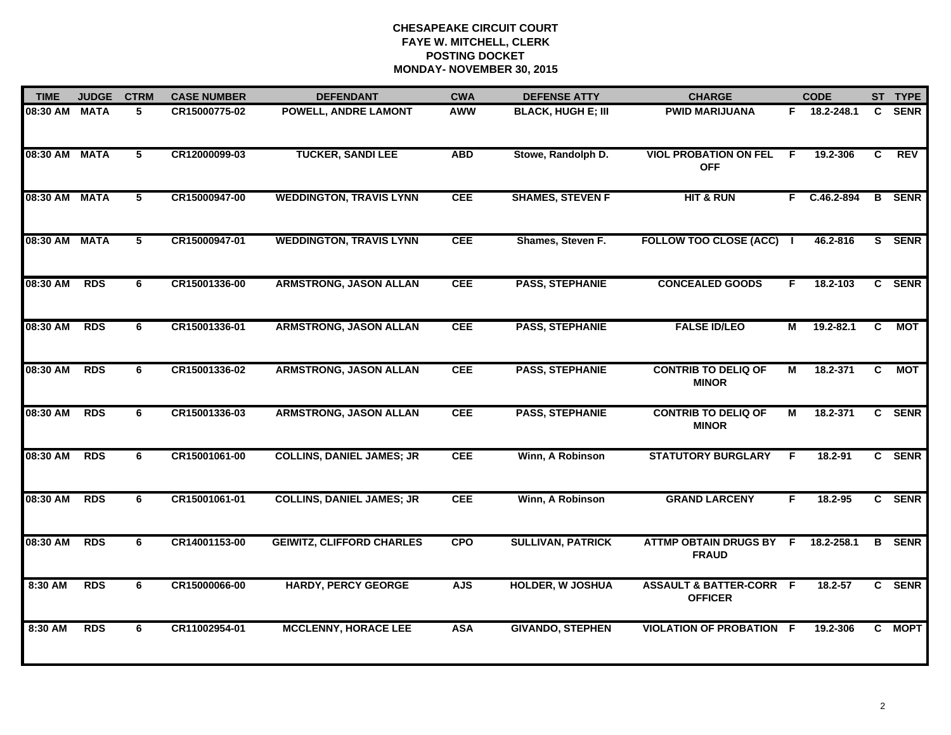| <b>TIME</b>   | <b>JUDGE</b> | <b>CTRM</b> | <b>CASE NUMBER</b> | <b>DEFENDANT</b>                 | <b>CWA</b> | <b>DEFENSE ATTY</b>       | <b>CHARGE</b>                                        |                | <b>CODE</b>   |                | ST TYPE       |
|---------------|--------------|-------------|--------------------|----------------------------------|------------|---------------------------|------------------------------------------------------|----------------|---------------|----------------|---------------|
| 08:30 AM      | <b>MATA</b>  | 5           | CR15000775-02      | POWELL, ANDRE LAMONT             | <b>AWW</b> | <b>BLACK, HUGH E; III</b> | <b>PWID MARIJUANA</b>                                |                | F 18.2-248.1  | $\mathbf{c}$   | <b>SENR</b>   |
| 08:30 AM MATA |              | $5^{\circ}$ | CR12000099-03      | <b>TUCKER, SANDI LEE</b>         | <b>ABD</b> | Stowe, Randolph D.        | <b>VIOL PROBATION ON FEL</b><br><b>OFF</b>           | -F             | 19.2-306      | C              | <b>REV</b>    |
| 08:30 AM MATA |              | $5^{\circ}$ | CR15000947-00      | <b>WEDDINGTON, TRAVIS LYNN</b>   | <b>CEE</b> | <b>SHAMES, STEVEN F</b>   | <b>HIT &amp; RUN</b>                                 |                | F C.46.2-894  |                | <b>B</b> SENR |
| 08:30 AM MATA |              | 5           | CR15000947-01      | <b>WEDDINGTON, TRAVIS LYNN</b>   | <b>CEE</b> | Shames, Steven F.         | <b>FOLLOW TOO CLOSE (ACC)</b>                        |                | 46.2-816      |                | S SENR        |
| 08:30 AM      | <b>RDS</b>   | 6           | CR15001336-00      | <b>ARMSTRONG, JASON ALLAN</b>    | <b>CEE</b> | <b>PASS, STEPHANIE</b>    | <b>CONCEALED GOODS</b>                               | F.             | 18.2-103      |                | C SENR        |
| 08:30 AM      | <b>RDS</b>   | 6           | CR15001336-01      | <b>ARMSTRONG, JASON ALLAN</b>    | <b>CEE</b> | <b>PASS, STEPHANIE</b>    | <b>FALSE ID/LEO</b>                                  | М              | $19.2 - 82.1$ | C              | <b>MOT</b>    |
| 08:30 AM      | <b>RDS</b>   | 6           | CR15001336-02      | <b>ARMSTRONG, JASON ALLAN</b>    | <b>CEE</b> | <b>PASS, STEPHANIE</b>    | <b>CONTRIB TO DELIQ OF</b><br><b>MINOR</b>           | $\overline{M}$ | 18.2-371      | $\overline{c}$ | <b>NOT</b>    |
| 08:30 AM      | <b>RDS</b>   | 6           | CR15001336-03      | <b>ARMSTRONG, JASON ALLAN</b>    | <b>CEE</b> | <b>PASS, STEPHANIE</b>    | <b>CONTRIB TO DELIQ OF</b><br><b>MINOR</b>           | М              | 18.2-371      |                | C SENR        |
| 08:30 AM      | <b>RDS</b>   | 6           | CR15001061-00      | <b>COLLINS, DANIEL JAMES; JR</b> | <b>CEE</b> | Winn, A Robinson          | <b>STATUTORY BURGLARY</b>                            | F              | 18.2-91       |                | C SENR        |
| 08:30 AM      | <b>RDS</b>   | 6           | CR15001061-01      | <b>COLLINS, DANIEL JAMES; JR</b> | <b>CEE</b> | Winn, A Robinson          | <b>GRAND LARCENY</b>                                 | F.             | $18.2 - 95$   |                | C SENR        |
| 08:30 AM      | <b>RDS</b>   | 6           | CR14001153-00      | <b>GEIWITZ, CLIFFORD CHARLES</b> | <b>CPO</b> | <b>SULLIVAN, PATRICK</b>  | <b>ATTMP OBTAIN DRUGS BY F</b><br><b>FRAUD</b>       |                | 18.2-258.1    |                | <b>B</b> SENR |
| 8:30 AM       | <b>RDS</b>   | 6           | CR15000066-00      | <b>HARDY, PERCY GEORGE</b>       | <b>AJS</b> | <b>HOLDER, W JOSHUA</b>   | <b>ASSAULT &amp; BATTER-CORR F</b><br><b>OFFICER</b> |                | $18.2 - 57$   |                | C SENR        |
| 8:30 AM       | <b>RDS</b>   | 6           | CR11002954-01      | <b>MCCLENNY, HORACE LEE</b>      | <b>ASA</b> | <b>GIVANDO, STEPHEN</b>   | <b>VIOLATION OF PROBATION F</b>                      |                | 19.2-306      |                | C MOPT        |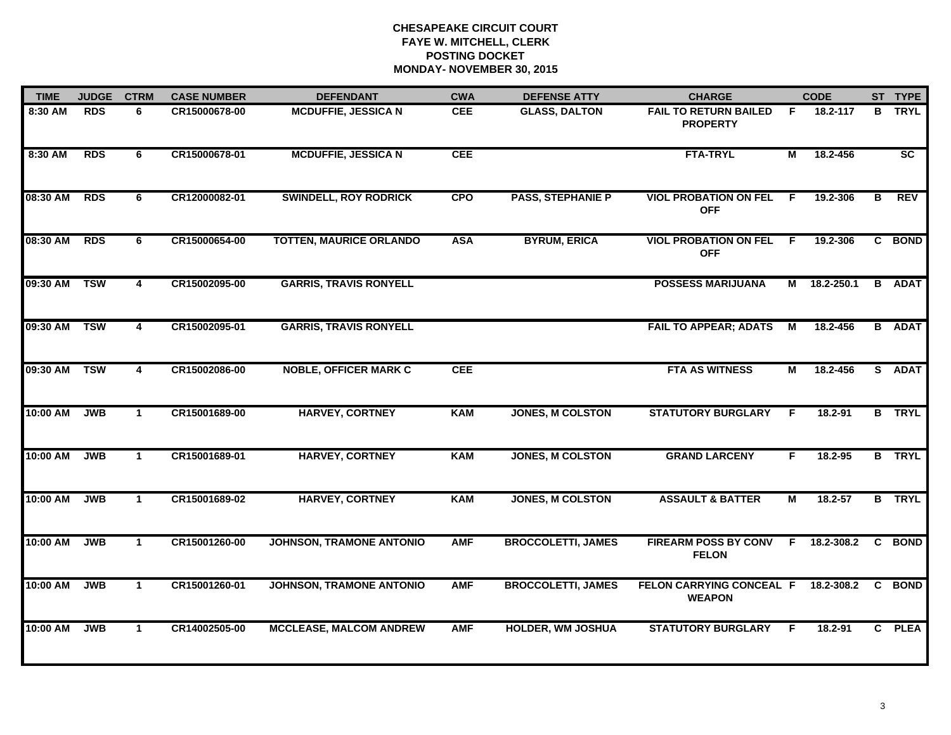| <b>TIME</b> | <b>JUDGE</b> | <b>CTRM</b>             | <b>CASE NUMBER</b> | <b>DEFENDANT</b>               | <b>CWA</b> | <b>DEFENSE ATTY</b>       | <b>CHARGE</b>                                   |    | <b>CODE</b>  |    | ST TYPE       |
|-------------|--------------|-------------------------|--------------------|--------------------------------|------------|---------------------------|-------------------------------------------------|----|--------------|----|---------------|
| 8:30 AM     | <b>RDS</b>   | 6                       | CR15000678-00      | <b>MCDUFFIE, JESSICA N</b>     | <b>CEE</b> | <b>GLASS, DALTON</b>      | <b>FAIL TO RETURN BAILED</b><br><b>PROPERTY</b> | F. | 18.2-117     | в  | <b>TRYL</b>   |
| 8:30 AM     | <b>RDS</b>   | 6                       | CR15000678-01      | <b>MCDUFFIE, JESSICA N</b>     | <b>CEE</b> |                           | <b>FTA-TRYL</b>                                 | М  | 18.2-456     |    | SC            |
| 08:30 AM    | <b>RDS</b>   | 6                       | CR12000082-01      | <b>SWINDELL, ROY RODRICK</b>   | <b>CPO</b> | <b>PASS, STEPHANIE P</b>  | <b>VIOL PROBATION ON FEL</b><br><b>OFF</b>      | F  | 19.2-306     | в  | <b>REV</b>    |
| 08:30 AM    | <b>RDS</b>   | 6                       | CR15000654-00      | <b>TOTTEN, MAURICE ORLANDO</b> | <b>ASA</b> | <b>BYRUM, ERICA</b>       | <b>VIOL PROBATION ON FEL</b><br><b>OFF</b>      | F. | 19.2-306     |    | C BOND        |
| 09:30 AM    | <b>TSW</b>   | 4                       | CR15002095-00      | <b>GARRIS, TRAVIS RONYELL</b>  |            |                           | <b>POSSESS MARIJUANA</b>                        |    | M 18.2-250.1 |    | <b>B</b> ADAT |
| 09:30 AM    | <b>TSW</b>   | $\overline{\mathbf{4}}$ | CR15002095-01      | <b>GARRIS, TRAVIS RONYELL</b>  |            |                           | <b>FAIL TO APPEAR; ADATS</b>                    | M  | 18.2-456     |    | <b>B</b> ADAT |
| 09:30 AM    | <b>TSW</b>   | $\overline{\mathbf{4}}$ | CR15002086-00      | <b>NOBLE, OFFICER MARK C</b>   | <b>CEE</b> |                           | <b>FTA AS WITNESS</b>                           | М  | 18.2-456     |    | S ADAT        |
| 10:00 AM    | <b>JWB</b>   | $\mathbf{1}$            | CR15001689-00      | <b>HARVEY, CORTNEY</b>         | <b>KAM</b> | <b>JONES, M COLSTON</b>   | <b>STATUTORY BURGLARY</b>                       | F  | 18.2-91      |    | <b>B</b> TRYL |
| 10:00 AM    | <b>JWB</b>   | $\mathbf 1$             | CR15001689-01      | <b>HARVEY, CORTNEY</b>         | <b>KAM</b> | <b>JONES, M COLSTON</b>   | <b>GRAND LARCENY</b>                            | F  | 18.2-95      |    | <b>B</b> TRYL |
| 10:00 AM    | <b>JWB</b>   | $\mathbf{1}$            | CR15001689-02      | <b>HARVEY, CORTNEY</b>         | <b>KAM</b> | <b>JONES, M COLSTON</b>   | <b>ASSAULT &amp; BATTER</b>                     | M  | $18.2 - 57$  |    | <b>B</b> TRYL |
| 10:00 AM    | <b>JWB</b>   | $\mathbf{1}$            | CR15001260-00      | JOHNSON, TRAMONE ANTONIO       | <b>AMF</b> | <b>BROCCOLETTI, JAMES</b> | <b>FIREARM POSS BY CONV</b><br><b>FELON</b>     | F. | 18.2-308.2   | C  | <b>BOND</b>   |
| 10:00 AM    | <b>JWB</b>   | $\mathbf{1}$            | CR15001260-01      | JOHNSON, TRAMONE ANTONIO       | <b>AMF</b> | <b>BROCCOLETTI, JAMES</b> | FELON CARRYING CONCEAL F<br><b>WEAPON</b>       |    | 18.2-308.2   | C  | <b>BOND</b>   |
| 10:00 AM    | <b>JWB</b>   | $\mathbf{1}$            | CR14002505-00      | <b>MCCLEASE, MALCOM ANDREW</b> | <b>AMF</b> | <b>HOLDER, WM JOSHUA</b>  | <b>STATUTORY BURGLARY</b>                       | F  | 18.2-91      | C. | <b>PLEA</b>   |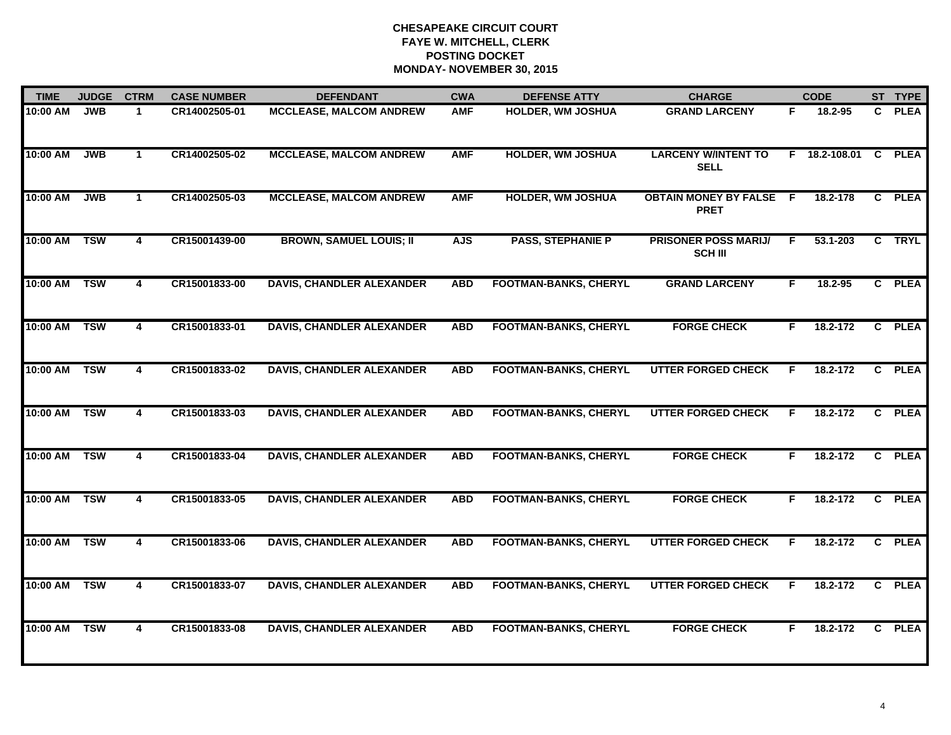| <b>TIME</b>  | <b>JUDGE</b> | <b>CTRM</b>             | <b>CASE NUMBER</b> | <b>DEFENDANT</b>                 | <b>CWA</b> | <b>DEFENSE ATTY</b>          | <b>CHARGE</b>                                 |    | <b>CODE</b> |              | ST TYPE     |
|--------------|--------------|-------------------------|--------------------|----------------------------------|------------|------------------------------|-----------------------------------------------|----|-------------|--------------|-------------|
| 10:00 AM     | <b>JWB</b>   | $\blacktriangleleft$    | CR14002505-01      | <b>MCCLEASE, MALCOM ANDREW</b>   | <b>AMF</b> | HOLDER, WM JOSHUA            | <b>GRAND LARCENY</b>                          | F. | 18.2-95     | C.           | <b>PLEA</b> |
| 10:00 AM     | <b>JWB</b>   | $\mathbf{1}$            | CR14002505-02      | <b>MCCLEASE, MALCOM ANDREW</b>   | <b>AMF</b> | <b>HOLDER, WM JOSHUA</b>     | <b>LARCENY W/INTENT TO</b><br><b>SELL</b>     | F  | 18.2-108.01 | <b>C</b>     | <b>PLEA</b> |
| 10:00 AM     | <b>JWB</b>   | $\mathbf{1}$            | CR14002505-03      | <b>MCCLEASE, MALCOM ANDREW</b>   | <b>AMF</b> | <b>HOLDER, WM JOSHUA</b>     | <b>OBTAIN MONEY BY FALSE F</b><br><b>PRET</b> |    | 18.2-178    |              | C PLEA      |
| 10:00 AM     | <b>TSW</b>   | 4                       | CR15001439-00      | <b>BROWN, SAMUEL LOUIS; II</b>   | <b>AJS</b> | <b>PASS, STEPHANIE P</b>     | <b>PRISONER POSS MARIJ/</b><br><b>SCH III</b> | F  | 53.1-203    |              | C TRYL      |
| 10:00 AM     | <b>TSW</b>   | 4                       | CR15001833-00      | <b>DAVIS, CHANDLER ALEXANDER</b> | <b>ABD</b> | <b>FOOTMAN-BANKS, CHERYL</b> | <b>GRAND LARCENY</b>                          | F. | 18.2-95     |              | C PLEA      |
| 10:00 AM     | <b>TSW</b>   | 4                       | CR15001833-01      | <b>DAVIS, CHANDLER ALEXANDER</b> | <b>ABD</b> | <b>FOOTMAN-BANKS, CHERYL</b> | <b>FORGE CHECK</b>                            | F. | 18.2-172    | $\mathbf{C}$ | <b>PLEA</b> |
| 10:00 AM TSW |              | $\overline{\mathbf{4}}$ | CR15001833-02      | <b>DAVIS, CHANDLER ALEXANDER</b> | <b>ABD</b> | <b>FOOTMAN-BANKS, CHERYL</b> | <b>UTTER FORGED CHECK</b>                     | F. | 18.2-172    | C            | <b>PLEA</b> |
| 10:00 AM     | <b>TSW</b>   | 4                       | CR15001833-03      | <b>DAVIS, CHANDLER ALEXANDER</b> | <b>ABD</b> | <b>FOOTMAN-BANKS, CHERYL</b> | <b>UTTER FORGED CHECK</b>                     | F  | 18.2-172    | $\mathbf{c}$ | <b>PLEA</b> |
| 10:00 AM     | <b>TSW</b>   | 4                       | CR15001833-04      | <b>DAVIS, CHANDLER ALEXANDER</b> | <b>ABD</b> | <b>FOOTMAN-BANKS, CHERYL</b> | <b>FORGE CHECK</b>                            | F. | 18.2-172    | C.           | <b>PLEA</b> |
| 10:00 AM     | <b>TSW</b>   | 4                       | CR15001833-05      | <b>DAVIS, CHANDLER ALEXANDER</b> | <b>ABD</b> | <b>FOOTMAN-BANKS, CHERYL</b> | <b>FORGE CHECK</b>                            | F. | 18.2-172    | $\mathbf{c}$ | <b>PLEA</b> |
| 10:00 AM     | <b>TSW</b>   | 4                       | CR15001833-06      | <b>DAVIS, CHANDLER ALEXANDER</b> | <b>ABD</b> | <b>FOOTMAN-BANKS, CHERYL</b> | <b>UTTER FORGED CHECK</b>                     | F  | 18.2-172    | C.           | <b>PLEA</b> |
| 10:00 AM     | <b>TSW</b>   | 4                       | CR15001833-07      | <b>DAVIS, CHANDLER ALEXANDER</b> | <b>ABD</b> | <b>FOOTMAN-BANKS, CHERYL</b> | <b>UTTER FORGED CHECK</b>                     | F  | 18.2-172    | $\mathbf{c}$ | <b>PLEA</b> |
| 10:00 AM     | <b>TSW</b>   | 4                       | CR15001833-08      | <b>DAVIS, CHANDLER ALEXANDER</b> | <b>ABD</b> | <b>FOOTMAN-BANKS, CHERYL</b> | <b>FORGE CHECK</b>                            | F  | 18.2-172    | C.           | <b>PLEA</b> |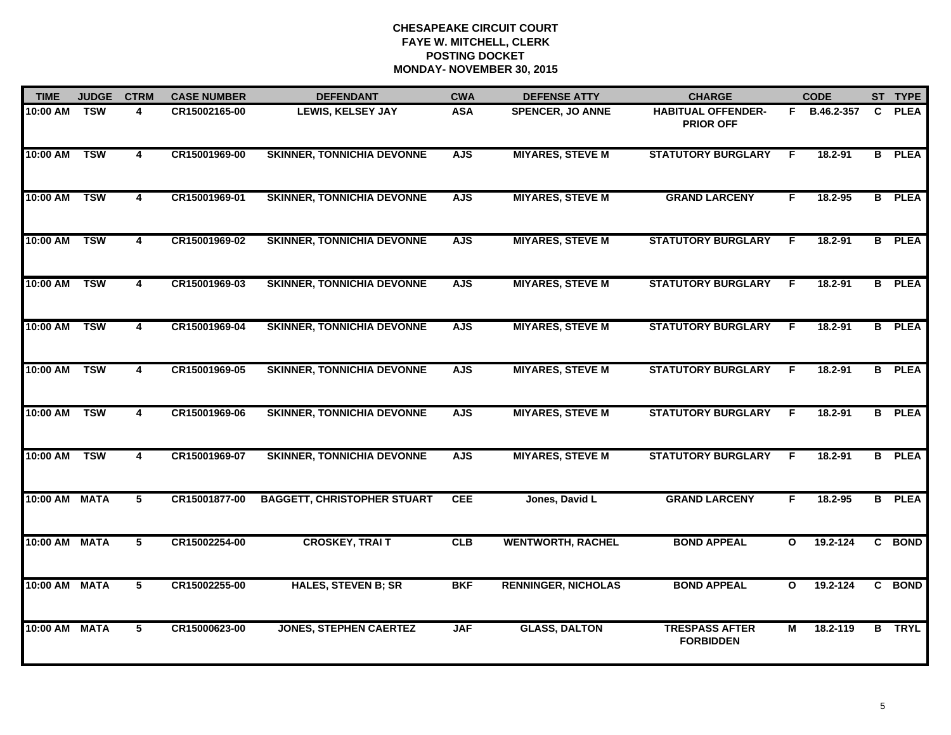| <b>TIME</b>   | <b>JUDGE</b> | <b>CTRM</b>             | <b>CASE NUMBER</b> | <b>DEFENDANT</b>                   | <b>CWA</b> | <b>DEFENSE ATTY</b>        | <b>CHARGE</b>                                 |              | <b>CODE</b>  |    | ST TYPE       |
|---------------|--------------|-------------------------|--------------------|------------------------------------|------------|----------------------------|-----------------------------------------------|--------------|--------------|----|---------------|
| 10:00 AM TSW  |              | 4                       | CR15002165-00      | LEWIS, KELSEY JAY                  | <b>ASA</b> | <b>SPENCER, JO ANNE</b>    | <b>HABITUAL OFFENDER-</b><br><b>PRIOR OFF</b> |              | F B.46.2-357 | C. | <b>PLEA</b>   |
| 10:00 AM      | <b>TSW</b>   | 4                       | CR15001969-00      | <b>SKINNER, TONNICHIA DEVONNE</b>  | <b>AJS</b> | <b>MIYARES, STEVE M</b>    | <b>STATUTORY BURGLARY</b>                     | F            | 18.2-91      |    | <b>B</b> PLEA |
| 10:00 AM      | <b>TSW</b>   | $\overline{\mathbf{4}}$ | CR15001969-01      | <b>SKINNER, TONNICHIA DEVONNE</b>  | <b>AJS</b> | <b>MIYARES, STEVE M</b>    | <b>GRAND LARCENY</b>                          | F            | 18.2-95      |    | <b>B</b> PLEA |
| 10:00 AM      | <b>TSW</b>   | 4                       | CR15001969-02      | <b>SKINNER, TONNICHIA DEVONNE</b>  | <b>AJS</b> | <b>MIYARES, STEVE M</b>    | <b>STATUTORY BURGLARY</b>                     | F            | 18.2-91      |    | <b>B</b> PLEA |
| 10:00 AM      | <b>TSW</b>   | 4                       | CR15001969-03      | <b>SKINNER, TONNICHIA DEVONNE</b>  | <b>AJS</b> | <b>MIYARES, STEVE M</b>    | <b>STATUTORY BURGLARY</b>                     | F.           | $18.2 - 91$  |    | <b>B</b> PLEA |
| 10:00 AM      | <b>TSW</b>   | $\overline{\mathbf{4}}$ | CR15001969-04      | <b>SKINNER, TONNICHIA DEVONNE</b>  | <b>AJS</b> | <b>MIYARES, STEVE M</b>    | <b>STATUTORY BURGLARY</b>                     | F            | 18.2-91      |    | <b>B</b> PLEA |
| 10:00 AM      | <b>TSW</b>   | 4                       | CR15001969-05      | <b>SKINNER, TONNICHIA DEVONNE</b>  | <b>AJS</b> | <b>MIYARES, STEVE M</b>    | <b>STATUTORY BURGLARY</b>                     | F.           | $18.2 - 91$  |    | <b>B</b> PLEA |
| 10:00 AM      | <b>TSW</b>   | 4                       | CR15001969-06      | <b>SKINNER, TONNICHIA DEVONNE</b>  | <b>AJS</b> | <b>MIYARES, STEVE M</b>    | <b>STATUTORY BURGLARY</b>                     | F            | $18.2 - 91$  |    | <b>B</b> PLEA |
| 10:00 AM TSW  |              | 4                       | CR15001969-07      | <b>SKINNER, TONNICHIA DEVONNE</b>  | <b>AJS</b> | <b>MIYARES, STEVE M</b>    | <b>STATUTORY BURGLARY</b>                     | F            | 18.2-91      |    | <b>B</b> PLEA |
| 10:00 AM MATA |              | 5                       | CR15001877-00      | <b>BAGGETT, CHRISTOPHER STUART</b> | CEE        | Jones, David L             | <b>GRAND LARCENY</b>                          | F            | $18.2 - 95$  |    | <b>B</b> PLEA |
| 10:00 AM MATA |              | 5                       | CR15002254-00      | <b>CROSKEY, TRAIT</b>              | CLB        | <b>WENTWORTH, RACHEL</b>   | <b>BOND APPEAL</b>                            | $\mathbf{o}$ | 19.2-124     |    | C BOND        |
| 10:00 AM MATA |              | $\overline{5}$          | CR15002255-00      | <b>HALES, STEVEN B; SR</b>         | <b>BKF</b> | <b>RENNINGER, NICHOLAS</b> | <b>BOND APPEAL</b>                            | $\mathbf{o}$ | 19.2-124     |    | C BOND        |
| 10:00 AM MATA |              | 5                       | CR15000623-00      | <b>JONES, STEPHEN CAERTEZ</b>      | <b>JAF</b> | <b>GLASS, DALTON</b>       | <b>TRESPASS AFTER</b><br><b>FORBIDDEN</b>     | М            | 18.2-119     |    | <b>B</b> TRYL |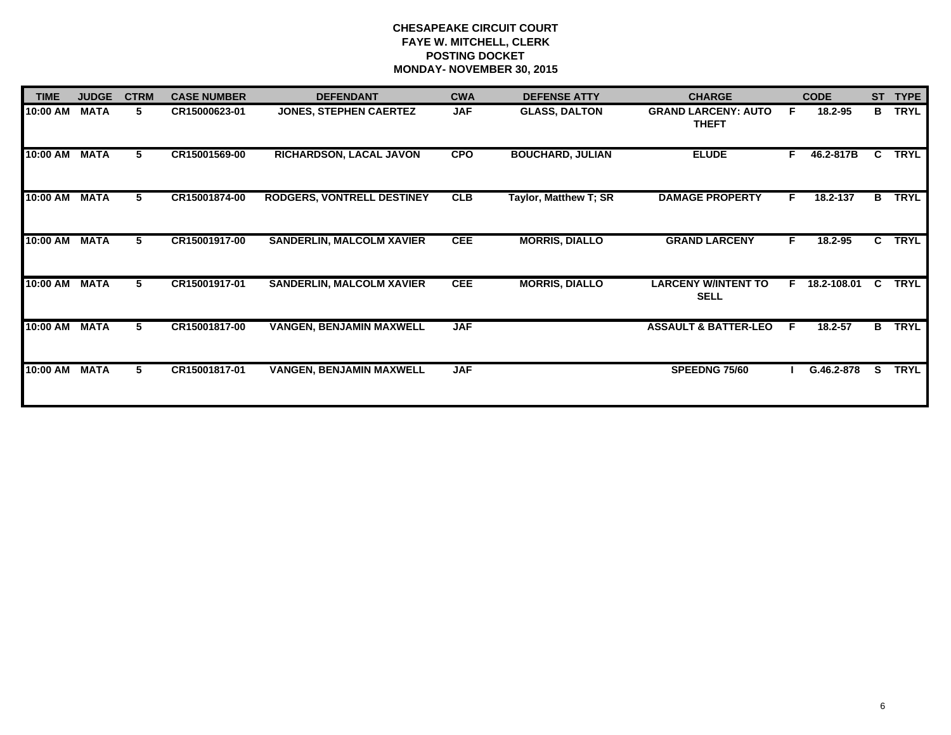| <b>TIME</b> | <b>JUDGE</b> | <b>CTRM</b> | <b>CASE NUMBER</b> | <b>DEFENDANT</b>                  | <b>CWA</b> | <b>DEFENSE ATTY</b>     | <b>CHARGE</b>                              |    | <b>CODE</b>   | <b>ST</b>    | <b>TYPE</b> |
|-------------|--------------|-------------|--------------------|-----------------------------------|------------|-------------------------|--------------------------------------------|----|---------------|--------------|-------------|
| 10:00 AM    | <b>MATA</b>  | 5           | CR15000623-01      | <b>JONES, STEPHEN CAERTEZ</b>     | <b>JAF</b> | <b>GLASS, DALTON</b>    | <b>GRAND LARCENY: AUTO</b><br><b>THEFT</b> | F. | 18.2-95       | B            | <b>TRYL</b> |
| 10:00 AM    | <b>MATA</b>  | 5.          | CR15001569-00      | RICHARDSON, LACAL JAVON           | <b>CPO</b> | <b>BOUCHARD, JULIAN</b> | <b>ELUDE</b>                               | F. | 46.2-817B     | C.           | <b>TRYL</b> |
| 10:00 AM    | <b>MATA</b>  | 5.          | CR15001874-00      | <b>RODGERS, VONTRELL DESTINEY</b> | <b>CLB</b> | Taylor, Matthew T; SR   | <b>DAMAGE PROPERTY</b>                     | F. | 18.2-137      | B            | <b>TRYL</b> |
| 10:00 AM    | <b>MATA</b>  | 5           | CR15001917-00      | <b>SANDERLIN, MALCOLM XAVIER</b>  | <b>CEE</b> | <b>MORRIS, DIALLO</b>   | <b>GRAND LARCENY</b>                       | F. | 18.2-95       | $\mathbf{c}$ | <b>TRYL</b> |
| 10:00 AM    | <b>MATA</b>  | 5.          | CR15001917-01      | <b>SANDERLIN, MALCOLM XAVIER</b>  | <b>CEE</b> | <b>MORRIS, DIALLO</b>   | <b>LARCENY W/INTENT TO</b><br><b>SELL</b>  |    | F 18.2-108.01 | C.           | <b>TRYL</b> |
| 10:00 AM    | <b>MATA</b>  | 5           | CR15001817-00      | <b>VANGEN, BENJAMIN MAXWELL</b>   | <b>JAF</b> |                         | <b>ASSAULT &amp; BATTER-LEO</b>            | E  | 18.2-57       | B.           | <b>TRYL</b> |
| 10:00 AM    | <b>MATA</b>  | 5           | CR15001817-01      | <b>VANGEN, BENJAMIN MAXWELL</b>   | <b>JAF</b> |                         | <b>SPEEDNG 75/60</b>                       |    | G.46.2-878    | S.           | <b>TRYL</b> |